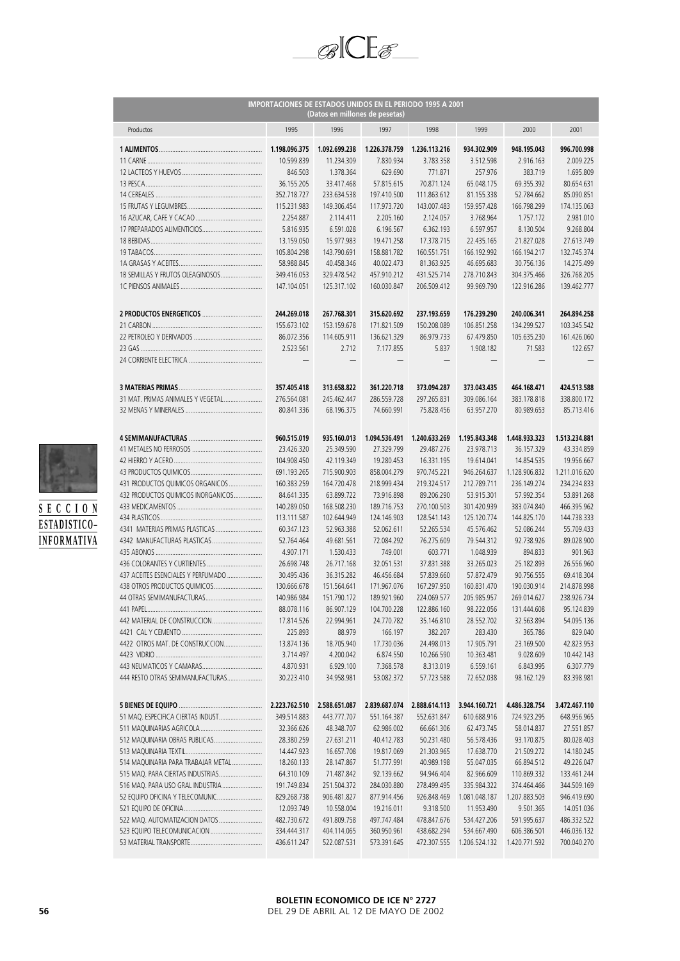| IMPORTACIONES DE ESTADOS UNIDOS EN EL PERIODO 1995 A 2001<br>(Datos en millones de pesetas) |               |                          |               |               |                 |               |               |  |
|---------------------------------------------------------------------------------------------|---------------|--------------------------|---------------|---------------|-----------------|---------------|---------------|--|
| Productos                                                                                   | 1995          | 1996                     | 1997          | 1998          | 1999            | 2000          | 2001          |  |
|                                                                                             | 1.198.096.375 | 1.092.699.238            | 1.226.378.759 | 1.236.113.216 | 934.302.909     | 948.195.043   | 996.700.998   |  |
|                                                                                             | 10.599.839    | 11.234.309               | 7.830.934     | 3.783.358     | 3.512.598       | 2.916.163     | 2.009.225     |  |
|                                                                                             | 846.503       | 1.378.364                | 629.690       | 771.871       | 257.976         | 383.719       | 1.695.809     |  |
|                                                                                             | 36.155.205    | 33.417.468               | 57.815.615    | 70.871.124    | 65.048.175      | 69.355.392    | 80.654.631    |  |
|                                                                                             | 352.718.727   | 233.634.538              | 197.410.500   | 111.863.612   | 81.155.338      | 52.784.662    | 85.090.851    |  |
|                                                                                             | 115.231.983   | 149.306.454              | 117.973.720   | 143.007.483   | 159.957.428     | 166.798.299   | 174.135.063   |  |
|                                                                                             | 2.254.887     | 2.114.411                | 2.205.160     | 2.124.057     | 3.768.964       | 1.757.172     | 2.981.010     |  |
|                                                                                             | 5.816.935     | 6.591.028                | 6.196.567     | 6.362.193     | 6.597.957       | 8.130.504     | 9.268.804     |  |
|                                                                                             | 13.159.050    | 15.977.983               | 19.471.258    | 17.378.715    | 22.435.165      | 21.827.028    | 27.613.749    |  |
|                                                                                             | 105.804.298   | 143.790.691              | 158.881.782   | 160.551.751   | 166.192.992     | 166.194.217   | 132.745.374   |  |
|                                                                                             | 58.988.845    | 40.458.346               | 40.022.473    | 81.363.925    | 46.695.683      | 30.756.136    | 14.275.499    |  |
| 1B SEMILLAS Y FRUTOS OLEAGINOSOS                                                            | 349.416.053   | 329.478.542              | 457.910.212   | 431.525.714   | 278.710.843     | 304.375.466   | 326.768.205   |  |
|                                                                                             | 147.104.051   | 125.317.102              | 160.030.847   | 206.509.412   | 99.969.790      | 122.916.286   | 139.462.777   |  |
|                                                                                             | 244.269.018   | 267.768.301              | 315.620.692   | 237.193.659   | 176.239.290     | 240.006.341   | 264.894.258   |  |
|                                                                                             | 155.673.102   | 153.159.678              | 171.821.509   | 150.208.089   | 106.851.258     | 134.299.527   | 103.345.542   |  |
|                                                                                             | 86.072.356    | 114.605.911              | 136.621.329   | 86.979.733    | 67.479.850      | 105.635.230   | 161.426.060   |  |
|                                                                                             | 2.523.561     | 2.712                    | 7.177.855     | 5.837         | 1.908.182       | 71.583        | 122.657       |  |
|                                                                                             |               | $\overline{\phantom{0}}$ |               |               | $\qquad \qquad$ |               |               |  |
|                                                                                             | 357.405.418   | 313.658.822              | 361.220.718   | 373.094.287   | 373.043.435     | 464.168.471   | 424.513.588   |  |
|                                                                                             | 276.564.081   | 245.462.447              | 286.559.728   | 297.265.831   | 309.086.164     | 383.178.818   | 338.800.172   |  |
|                                                                                             | 80.841.336    | 68.196.375               | 74.660.991    | 75.828.456    | 63.957.270      | 80.989.653    | 85.713.416    |  |
|                                                                                             | 960.515.019   | 935.160.013              | 1.094.536.491 | 1.240.633.269 | 1.195.843.348   | 1.448.933.323 | 1.513.234.881 |  |
|                                                                                             | 23.426.320    | 25.349.590               | 27.329.799    | 29.487.276    | 23.978.713      | 36.157.329    | 43.334.859    |  |
|                                                                                             | 104.908.450   | 42.119.349               | 19.280.453    | 16.331.195    | 19.614.041      | 14.854.535    | 19.956.667    |  |
|                                                                                             | 691.193.265   | 715.900.903              | 858.004.279   | 970.745.221   | 946.264.637     | 1.128.906.832 | 1.211.016.620 |  |
| 431 PRODUCTOS QUIMICOS ORGANICOS                                                            | 160.383.259   | 164.720.478              | 218.999.434   | 219.324.517   | 212.789.711     | 236.149.274   | 234.234.833   |  |
| 432 PRODUCTOS QUIMICOS INORGANICOS                                                          | 84.641.335    | 63.899.722               | 73.916.898    | 89.206.290    | 53.915.301      | 57.992.354    | 53.891.268    |  |
|                                                                                             | 140.289.050   | 168.508.230              | 189.716.753   | 270.100.503   | 301.420.939     | 383.074.840   | 466.395.962   |  |
|                                                                                             | 113.111.587   | 102.644.949              | 124.146.903   | 128.541.143   | 125.120.774     | 144.825.170   | 144.738.333   |  |
| 4341 MATERIAS PRIMAS PLASTICAS                                                              | 60.347.123    | 52.963.388               | 52.062.611    | 52.265.534    | 45.576.462      | 52.086.244    | 55.709.433    |  |
|                                                                                             | 52.764.464    | 49.681.561               | 72.084.292    | 76.275.609    | 79.544.312      | 92.738.926    | 89.028.900    |  |
|                                                                                             | 4.907.171     | 1.530.433                | 749.001       | 603.771       | 1.048.939       | 894.833       | 901.963       |  |
|                                                                                             | 26.698.748    | 26.717.168               | 32.051.531    | 37.831.388    | 33.265.023      | 25.182.893    | 26.556.960    |  |
| 437 ACEITES ESENCIALES Y PERFUMADO                                                          | 30.495.436    | 36.315.282               | 46.456.684    | 57.839.660    | 57.872.479      | 90.756.555    | 69.418.304    |  |
| 438 OTROS PRODUCTOS QUIMICOS                                                                | 130.666.678   | 151.564.641              | 171.967.076   | 167.297.950   | 160.831.470     | 190.030.914   | 214.878.998   |  |
|                                                                                             | 140.986.984   | 151.790.172              | 189.921.960   | 224.069.577   | 205.985.957     | 269.014.627   | 238.926.734   |  |
|                                                                                             | 88.078.116    | 86.907.129               | 104.700.228   | 122.886.160   | 98.222.056      | 131.444.608   | 95.124.839    |  |
| 442 MATERIAL DE CONSTRUCCION                                                                | 17.814.526    | 22.994.961               | 24.770.782    | 35.146.810    | 28.552.702      | 32.563.894    | 54.095.136    |  |
|                                                                                             | 225.893       | 88.979                   | 166.197       | 382.207       | 283.430         | 365.786       | 829.040       |  |
| 4422 OTROS MAT. DE CONSTRUCCION                                                             | 13.874.136    | 18.705.940               | 17.730.036    | 24.498.013    | 17.905.791      | 23.169.500    | 42.823.953    |  |
|                                                                                             | 3.714.497     | 4.200.042                | 6.874.550     | 10.266.590    | 10.363.481      | 9.028.609     | 10.442.143    |  |
|                                                                                             | 4.870.931     | 6.929.100                | 7.368.578     | 8.313.019     | 6.559.161       | 6.843.995     | 6.307.779     |  |
| 444 RESTO OTRAS SEMIMANUFACTURAS                                                            | 30.223.410    | 34.958.981               | 53.082.372    | 57.723.588    | 72.652.038      | 98.162.129    | 83.398.981    |  |
|                                                                                             | 2.223.762.510 | 2.588.651.087            | 2.839.687.074 | 2.888.614.113 | 3.944.160.721   | 4.486.328.754 | 3.472.467.110 |  |
| 51 MAO, ESPECIFICA CIERTAS INDUST                                                           | 349.514.883   | 443.777.707              | 551.164.387   | 552.631.847   | 610.688.916     | 724.923.295   | 648.956.965   |  |
|                                                                                             | 32.366.626    | 48.348.707               | 62.986.002    | 66.661.306    | 62.473.745      | 58.014.837    | 27.551.857    |  |
| 512 MAQUINARIA OBRAS PUBLICAS                                                               | 28.380.259    | 27.631.211               | 40.412.783    | 50.231.480    | 56.578.436      | 93.170.875    | 80.028.403    |  |
|                                                                                             | 14.447.923    | 16.657.708               | 19.817.069    | 21.303.965    | 17.638.770      | 21.509.272    | 14.180.245    |  |
| 514 MAQUINARIA PARA TRABAJAR METAL                                                          | 18.260.133    | 28.147.867               | 51.777.991    | 40.989.198    | 55.047.035      | 66.894.512    | 49.226.047    |  |
| 515 MAQ. PARA CIERTAS INDUSTRIAS                                                            | 64.310.109    | 71.487.842               | 92.139.662    | 94.946.404    | 82.966.609      | 110.869.332   | 133.461.244   |  |
| 516 MAQ. PARA USO GRAL INDUSTRIA                                                            | 191.749.834   | 251.504.372              | 284.030.880   | 278.499.495   | 335.984.322     | 374.464.466   | 344.509.169   |  |
| 52 EQUIPO OFICINA Y TELECOMUNIC                                                             | 829.268.738   | 906.481.827              | 877.914.456   | 926.848.469   | 1.081.048.187   | 1.207.883.503 | 946.419.690   |  |
|                                                                                             | 12.093.749    | 10.558.004               | 19.216.011    | 9.318.500     | 11.953.490      | 9.501.365     | 14.051.036    |  |
| 522 MAQ. AUTOMATIZACION DATOS                                                               | 482.730.672   | 491.809.758              | 497.747.484   | 478.847.676   | 534.427.206     | 591.995.637   | 486.332.522   |  |
| 523 EQUIPO TELECOMUNICACION                                                                 | 334.444.317   | 404.114.065              | 360.950.961   | 438.682.294   | 534.667.490     | 606.386.501   | 446.036.132   |  |
|                                                                                             | 436.611.247   | 522.087.531              | 573.391.645   | 472.307.555   | 1.206.524.132   | 1.420.771.592 | 700.040.270   |  |

 $_{\mathscr{B}}$ ICE $_{\mathscr{E}}$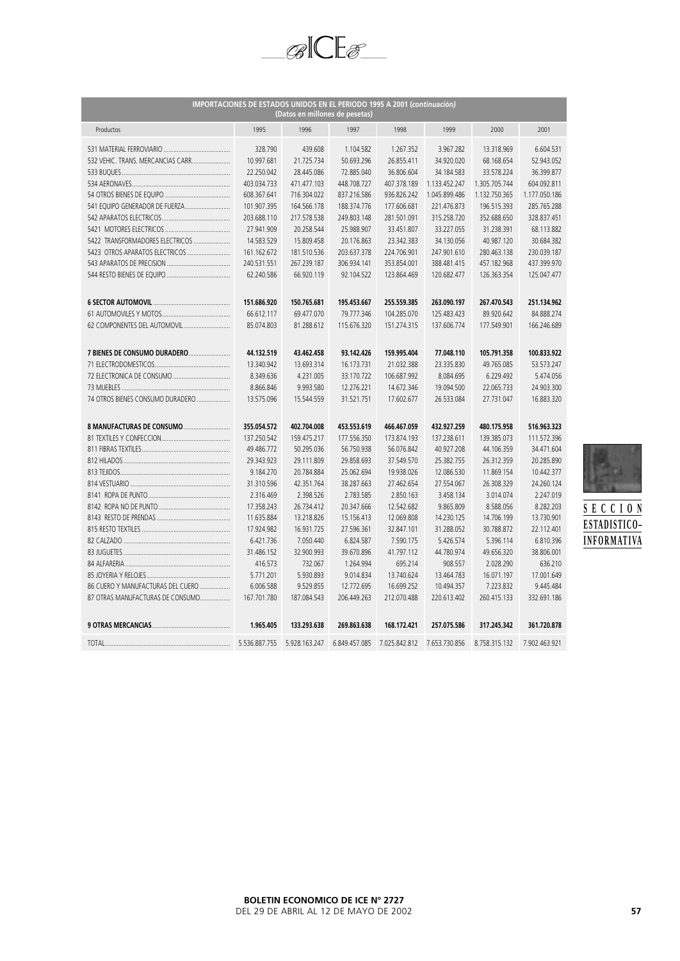| IMPORTACIONES DE ESTADOS UNIDOS EN EL PERIODO 1995 A 2001 (continuación) |               |               |               |                             |               |               |               |  |  |  |
|--------------------------------------------------------------------------|---------------|---------------|---------------|-----------------------------|---------------|---------------|---------------|--|--|--|
| (Datos en millones de pesetas)                                           |               |               |               |                             |               |               |               |  |  |  |
| Productos                                                                | 1995          | 1996          | 1997          | 1998                        | 1999          | 2000          | 2001          |  |  |  |
|                                                                          | 328.790       | 439.608       | 1.104.582     | 1.267.352                   | 3.967.282     | 13.318.969    | 6.604.531     |  |  |  |
| 532 VEHIC, TRANS, MERCANCIAS CARR                                        | 10.997.681    | 21.725.734    | 50.693.296    | 26.855.411                  | 34.920.020    | 68.168.654    | 52.943.052    |  |  |  |
|                                                                          | 22.250.042    | 28.445.086    | 72.885.040    | 36.806.604                  | 34.184.583    | 33.578.224    | 36.399.877    |  |  |  |
|                                                                          | 403.034.733   | 471.477.103   | 448.708.727   | 407.378.189                 | 1.133.452.247 | 1.305.705.744 | 604.092.811   |  |  |  |
|                                                                          | 608.367.641   | 716.304.022   | 837.216.586   | 936.826.242                 | 1.045.899.486 | 1.132.750.365 | 1.177.050.186 |  |  |  |
| 541 EQUIPO GENERADOR DE FUERZA                                           | 101.907.395   | 164.566.178   | 188.374.776   | 177.606.681                 | 221.476.873   | 196.515.393   | 285.765.288   |  |  |  |
|                                                                          | 203.688.110   | 217.578.538   | 249.803.148   | 281.501.091                 | 315.258.720   | 352.688.650   | 328.837.451   |  |  |  |
|                                                                          | 27.941.909    | 20.258.544    | 25.988.907    | 33.451.807                  | 33.227.055    | 31.238.391    | 68.113.882    |  |  |  |
| 5422 TRANSFORMADORES ELECTRICOS                                          | 14,583,529    | 15.809.458    | 20.176.863    | 23.342.383                  | 34.130.056    | 40.987.120    | 30.684.382    |  |  |  |
| 5423 OTROS APARATOS ELECTRICOS                                           | 161.162.672   | 181.510.536   | 203.637.378   | 224.706.901                 | 247.901.610   | 280.463.138   | 230.039.187   |  |  |  |
|                                                                          | 240.531.551   | 267.239.187   | 306.934.141   | 353.854.001                 | 388.481.415   | 457.182.968   | 437.399.970   |  |  |  |
|                                                                          | 62.240.586    | 66.920.119    | 92.104.522    | 123.864.469                 | 120.682.477   | 126.363.354   | 125.047.477   |  |  |  |
|                                                                          |               |               |               |                             |               |               |               |  |  |  |
|                                                                          | 151.686.920   | 150.765.681   | 195.453.667   | 255.559.385                 | 263.090.197   | 267.470.543   | 251.134.962   |  |  |  |
|                                                                          | 66.612.117    | 69.477.070    | 79.777.346    | 104.285.070                 | 125.483.423   | 89.920.642    | 84.888.274    |  |  |  |
| 62 COMPONENTES DEL AUTOMOVIL                                             | 85.074.803    | 81.288.612    | 115.676.320   | 151.274.315                 | 137.606.774   | 177.549.901   | 166.246.689   |  |  |  |
|                                                                          |               |               |               |                             |               |               |               |  |  |  |
| 7 BIENES DE CONSUMO DURADERO                                             | 44.132.519    | 43.462.458    | 93.142.426    | 159.995.404                 | 77.048.110    | 105.791.358   | 100.833.922   |  |  |  |
|                                                                          | 13.340.942    | 13.693.314    | 16.173.731    | 21.032.388                  | 23.335.830    | 49.765.085    | 53.573.247    |  |  |  |
|                                                                          | 8.349.636     | 4.231.005     | 33.170.722    | 106.687.992                 | 8.084.695     | 6.229.492     | 5.474.056     |  |  |  |
|                                                                          | 8.866.846     | 9.993.580     | 12.276.221    | 14.672.346                  | 19.094.500    | 22.065.733    | 24.903.300    |  |  |  |
| 74 OTROS BIENES CONSUMO DURADERO                                         | 13.575.096    | 15.544.559    | 31.521.751    | 17.602.677                  | 26.533.084    | 27.731.047    | 16.883.320    |  |  |  |
|                                                                          |               |               |               |                             |               |               |               |  |  |  |
|                                                                          | 355.054.572   | 402.704.008   | 453.553.619   | 466.467.059                 | 432.927.259   | 480.175.958   | 516.963.323   |  |  |  |
|                                                                          | 137.250.542   | 159.475.217   | 177.556.350   | 173.874.193                 | 137.238.611   | 139.385.073   | 111.572.396   |  |  |  |
|                                                                          | 49.486.772    | 50.295.036    | 56.750.938    | 56.076.842                  | 40.927.208    | 44.106.359    | 34.471.604    |  |  |  |
|                                                                          | 29.343.923    | 29.111.809    | 29.858.693    | 37.549.570                  | 25.382.755    | 26.312.359    | 20.285.890    |  |  |  |
|                                                                          | 9.184.270     | 20.784.884    | 25.062.694    | 19.938.026                  | 12.086.530    | 11.869.154    | 10.442.377    |  |  |  |
|                                                                          | 31.310.596    | 42.351.764    | 38.287.663    | 27.462.654                  | 27.554.067    | 26.308.329    | 24.260.124    |  |  |  |
|                                                                          | 2.316.469     | 2.398.526     | 2.783.585     | 2.850.163                   | 3.458.134     | 3.014.074     | 2.247.019     |  |  |  |
|                                                                          | 17.358.243    | 26.734.412    | 20.347.666    | 12.542.682                  | 9.865.809     | 8.588.056     | 8.282.203     |  |  |  |
|                                                                          | 11.635.884    | 13.218.826    | 15.156.413    | 12.069.808                  | 14.230.125    | 14.706.199    | 13.730.901    |  |  |  |
|                                                                          | 17.924.982    | 16.931.725    | 27.596.361    | 32.847.101                  | 31.288.052    | 30.788.872    | 22.112.401    |  |  |  |
|                                                                          | 6.421.736     | 7.050.440     | 6.824.587     | 7.590.175                   | 5.426.574     | 5.396.114     | 6.810.396     |  |  |  |
|                                                                          | 31.486.152    | 32.900.993    | 39.670.896    | 41.797.112                  | 44.780.974    | 49.656.320    | 38.806.001    |  |  |  |
|                                                                          | 416.573       | 732.067       | 1.264.994     | 695.214                     | 908.557       | 2.028.290     | 636.210       |  |  |  |
|                                                                          | 5.771.201     | 5.930.893     | 9.014.834     | 13.740.624                  | 13,464,783    | 16.071.197    | 17.001.649    |  |  |  |
| 86 CUERO Y MANUFACTURAS DEL CUERO                                        | 6.006.588     | 9.529.855     | 12.772.695    | 16.699.252                  | 10.494.357    | 7.223.832     | 9.445.484     |  |  |  |
| 87 OTRAS MANUFACTURAS DE CONSUMO                                         | 167.701.780   | 187.084.543   | 206.449.263   | 212.070.488                 | 220.613.402   | 260.415.133   | 332.691.186   |  |  |  |
|                                                                          |               |               |               |                             |               |               |               |  |  |  |
|                                                                          | 1.965.405     | 133.293.638   | 269.863.638   | 168.172.421                 | 257.075.586   | 317.245.342   | 361.720.878   |  |  |  |
|                                                                          | 5.536.887.755 | 5.928.163.247 | 6.849.457.085 | 7.025.842.812 7.653.730.856 |               | 8.758.315.132 | 7.902.463.921 |  |  |  |

 $\mathscr{BICE\mathscr{E}}$ 

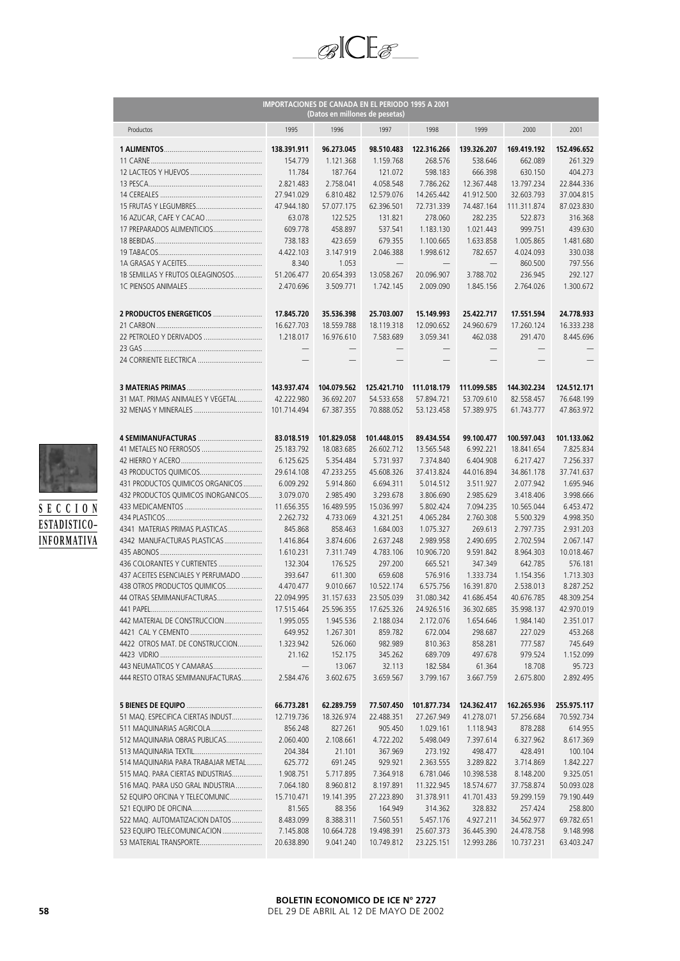| IMPORTACIONES DE CANADA EN EL PERIODO 1995 A 2001<br>(Datos en millones de pesetas) |                          |                   |                                 |                                 |                          |                          |             |  |  |
|-------------------------------------------------------------------------------------|--------------------------|-------------------|---------------------------------|---------------------------------|--------------------------|--------------------------|-------------|--|--|
| Productos                                                                           | 1995                     | 1996              | 1997                            | 1998                            | 1999                     | 2000                     | 2001        |  |  |
|                                                                                     | 138.391.911              | 96.273.045        | 98.510.483                      | 122.316.266                     | 139.326.207              | 169.419.192              | 152.496.652 |  |  |
|                                                                                     | 154.779                  | 1.121.368         | 1.159.768                       | 268.576                         | 538.646                  | 662.089                  | 261.329     |  |  |
|                                                                                     | 11.784                   | 187.764           | 121.072                         | 598.183                         | 666.398                  | 630.150                  | 404.273     |  |  |
|                                                                                     | 2.821.483                | 2.758.041         | 4.058.548                       | 7.786.262                       | 12.367.448               | 13.797.234               | 22.844.336  |  |  |
|                                                                                     | 27.941.029               | 6.810.482         | 12.579.076                      | 14.265.442                      | 41.912.500               | 32.603.793               | 37.004.815  |  |  |
|                                                                                     | 47.944.180               | 57.077.175        | 62.396.501                      | 72.731.339                      | 74.487.164               | 111.311.874              | 87.023.830  |  |  |
| 16 AZUCAR, CAFE Y CACAO                                                             | 63.078                   | 122.525           | 131.821                         | 278.060                         | 282.235                  | 522.873                  | 316.368     |  |  |
| 17 PREPARADOS ALIMENTICIOS                                                          | 609.778                  | 458.897           | 537.541                         | 1.183.130                       | 1.021.443                | 999.751                  | 439.630     |  |  |
|                                                                                     | 738.183                  | 423.659           | 679.355                         | 1.100.665                       | 1.633.858                | 1.005.865                | 1.481.680   |  |  |
|                                                                                     | 4.422.103                | 3.147.919         | 2.046.388                       | 1.998.612                       | 782.657                  | 4.024.093                | 330.038     |  |  |
|                                                                                     | 8.340                    | 1.053             | $\overbrace{\phantom{1232211}}$ | $\overbrace{\phantom{1232211}}$ | $\overline{\phantom{0}}$ | 860.500                  | 797.556     |  |  |
| 1B SEMILLAS Y FRUTOS OLEAGINOSOS                                                    | 51.206.477               | 20.654.393        | 13.058.267                      | 20.096.907                      | 3.788.702                | 236.945                  | 292.127     |  |  |
|                                                                                     | 2.470.696                | 3.509.771         | 1.742.145                       | 2.009.090                       | 1.845.156                | 2.764.026                | 1.300.672   |  |  |
|                                                                                     | 17.845.720               | 35.536.398        | 25.703.007                      | 15.149.993                      | 25.422.717               | 17.551.594               | 24.778.933  |  |  |
|                                                                                     | 16.627.703               | 18.559.788        | 18.119.318                      | 12.090.652                      | 24.960.679               | 17.260.124               | 16.333.238  |  |  |
| 22 PETROLEO Y DERIVADOS                                                             | 1.218.017                | 16.976.610        | 7.583.689                       | 3.059.341                       | 462.038                  | 291.470                  | 8.445.696   |  |  |
|                                                                                     | $\qquad \qquad -$        | $\qquad \qquad -$ | $\qquad \qquad -$               | $\qquad \qquad -$               | $\qquad \qquad -$        | $\qquad \qquad -$        |             |  |  |
|                                                                                     | $\overline{\phantom{0}}$ | $\qquad \qquad -$ | $\overline{\phantom{0}}$        |                                 | $\overline{\phantom{0}}$ | $\overline{\phantom{0}}$ |             |  |  |
|                                                                                     | 143.937.474              | 104.079.562       | 125.421.710                     | 111.018.179                     | 111.099.585              | 144.302.234              | 124.512.171 |  |  |
| 31 MAT, PRIMAS ANIMALES Y VEGETAL                                                   | 42.222.980               | 36.692.207        | 54.533.658                      | 57.894.721                      | 53.709.610               | 82.558.457               | 76.648.199  |  |  |
|                                                                                     | 101.714.494              | 67.387.355        | 70.888.052                      | 53.123.458                      | 57.389.975               | 61.743.777               | 47.863.972  |  |  |
|                                                                                     | 83.018.519               | 101.829.058       | 101.448.015                     | 89.434.554                      | 99.100.477               | 100.597.043              | 101.133.062 |  |  |
|                                                                                     | 25.183.792               | 18.083.685        | 26.602.712                      | 13.565.548                      | 6.992.221                | 18.841.654               | 7.825.834   |  |  |
|                                                                                     | 6.125.625                | 5.354.484         | 5.731.937                       | 7.374.840                       | 6.404.908                | 6.217.427                | 7.256.337   |  |  |
|                                                                                     | 29.614.108               | 47.233.255        | 45.608.326                      | 37.413.824                      | 44.016.894               | 34.861.178               | 37.741.637  |  |  |
| 431 PRODUCTOS QUIMICOS ORGANICOS                                                    | 6.009.292                | 5.914.860         | 6.694.311                       | 5.014.512                       | 3.511.927                | 2.077.942                | 1.695.946   |  |  |
| 432 PRODUCTOS QUIMICOS INORGANICOS                                                  | 3.079.070                | 2.985.490         | 3.293.678                       | 3.806.690                       | 2.985.629                | 3.418.406                | 3.998.666   |  |  |
|                                                                                     | 11.656.355               | 16.489.595        | 15.036.997                      | 5.802.424                       | 7.094.235                | 10.565.044               | 6.453.472   |  |  |
|                                                                                     | 2.262.732                | 4.733.069         | 4.321.251                       | 4.065.284                       | 2.760.308                | 5.500.329                | 4.998.350   |  |  |
| 4341 MATERIAS PRIMAS PLASTICAS                                                      | 845.868                  | 858.463           | 1.684.003                       | 1.075.327                       | 269.613                  | 2.797.735                | 2.931.203   |  |  |
| 4342 MANUFACTURAS PLASTICAS                                                         | 1.416.864                | 3.874.606         | 2.637.248                       | 2.989.958                       | 2.490.695                | 2.702.594                | 2.067.147   |  |  |
|                                                                                     | 1.610.231                | 7.311.749         | 4.783.106                       | 10.906.720                      | 9.591.842                | 8.964.303                | 10.018.467  |  |  |
| 436 COLORANTES Y CURTIENTES                                                         | 132.304                  | 176.525           | 297.200                         | 665.521                         | 347.349                  | 642.785                  | 576.181     |  |  |
| 437 ACEITES ESENCIALES Y PERFUMADO                                                  | 393.647                  | 611.300           | 659.608                         | 576.916                         | 1.333.734                | 1.154.356                | 1.713.303   |  |  |
| 438 OTROS PRODUCTOS QUIMICOS                                                        | 4.470.477                | 9.010.667         | 10.522.174                      | 6.575.756                       | 16.391.870               | 2.538.013                | 8.287.252   |  |  |
| 44 OTRAS SEMIMANUFACTURAS                                                           | 22.094.995               | 31.157.633        | 23.505.039                      | 31.080.342                      | 41.686.454               | 40.676.785               | 48.309.254  |  |  |
|                                                                                     | 17.515.464               | 25.596.355        | 17.625.326                      | 24.926.516                      | 36.302.685               | 35.998.137               | 42.970.019  |  |  |
| 442 MATERIAL DE CONSTRUCCION                                                        | 1.995.055                | 1.945.536         | 2.188.034                       | 2.172.076                       | 1.654.646                | 1.984.140                | 2.351.017   |  |  |
|                                                                                     | 649.952                  | 1.267.301         | 859.782                         | 672.004                         | 298.687                  | 227.029                  | 453.268     |  |  |
| 4422 OTROS MAT. DE CONSTRUCCION                                                     | 1.323.942                | 526.060           | 982.989                         | 810.363                         | 858.281                  | 777.587                  | 745.649     |  |  |
|                                                                                     | 21.162                   | 152.175           | 345.262                         | 689.709                         | 497.678                  | 979.524                  | 1.152.099   |  |  |
| 443 NEUMATICOS Y CAMARAS                                                            | $\overline{\phantom{m}}$ | 13.067            | 32.113                          | 182.584                         | 61.364                   | 18.708                   | 95.723      |  |  |
| 444 RESTO OTRAS SEMIMANUFACTURAS                                                    | 2.584.476                | 3.602.675         | 3.659.567                       | 3.799.167                       | 3.667.759                | 2.675.800                | 2.892.495   |  |  |
|                                                                                     | 66.773.281               | 62.289.759        | 77.507.450                      | 101.877.734                     | 124.362.417              | 162.265.936              | 255.975.117 |  |  |
| 51 MAQ. ESPECIFICA CIERTAS INDUST                                                   | 12.719.736               | 18.326.974        | 22.488.351                      | 27.267.949                      | 41.278.071               | 57.256.684               | 70.592.734  |  |  |
| 511 MAQUINARIAS AGRICOLA                                                            | 856.248                  | 827.261           | 905.450                         | 1.029.161                       | 1.118.943                | 878.288                  | 614.955     |  |  |
| 512 MAQUINARIA OBRAS PUBLICAS                                                       | 2.060.400                | 2.108.661         | 4.722.202                       | 5.498.049                       | 7.397.614                | 6.327.962                | 8.617.369   |  |  |
|                                                                                     | 204.384                  | 21.101            | 367.969                         | 273.192                         | 498.477                  | 428.491                  | 100.104     |  |  |
| 514 MAQUINARIA PARA TRABAJAR METAL                                                  | 625.772                  | 691.245           | 929.921                         | 2.363.555                       | 3.289.822                | 3.714.869                | 1.842.227   |  |  |
| 515 MAQ. PARA CIERTAS INDUSTRIAS                                                    | 1.908.751                | 5.717.895         | 7.364.918                       | 6.781.046                       | 10.398.538               | 8.148.200                | 9.325.051   |  |  |
| 516 MAQ. PARA USO GRAL INDUSTRIA                                                    | 7.064.180                | 8.960.812         | 8.197.891                       | 11.322.945                      | 18.574.677               | 37.758.874               | 50.093.028  |  |  |
| 52 EQUIPO OFICINA Y TELECOMUNIC                                                     | 15.710.471               | 19.141.395        | 27.223.890                      | 31.378.911                      | 41.701.433               | 59.299.159               | 79.190.449  |  |  |
|                                                                                     | 81.565                   | 88.356            | 164.949                         | 314.362                         | 328.832                  | 257.424                  | 258.800     |  |  |
| 522 MAQ. AUTOMATIZACION DATOS                                                       | 8.483.099                | 8.388.311         | 7.560.551                       | 5.457.176                       | 4.927.211                | 34.562.977               | 69.782.651  |  |  |
| 523 EQUIPO TELECOMUNICACION                                                         | 7.145.808                | 10.664.728        | 19.498.391                      | 25.607.373                      | 36.445.390               | 24.478.758               | 9.148.998   |  |  |
| 53 MATERIAL TRANSPORTE                                                              | 20.638.890               | 9.041.240         | 10.749.812                      | 23.225.151                      | 12.993.286               | 10.737.231               | 63.403.247  |  |  |

 $_{\mathscr{B}}$ ICE $_{\mathscr{E}}$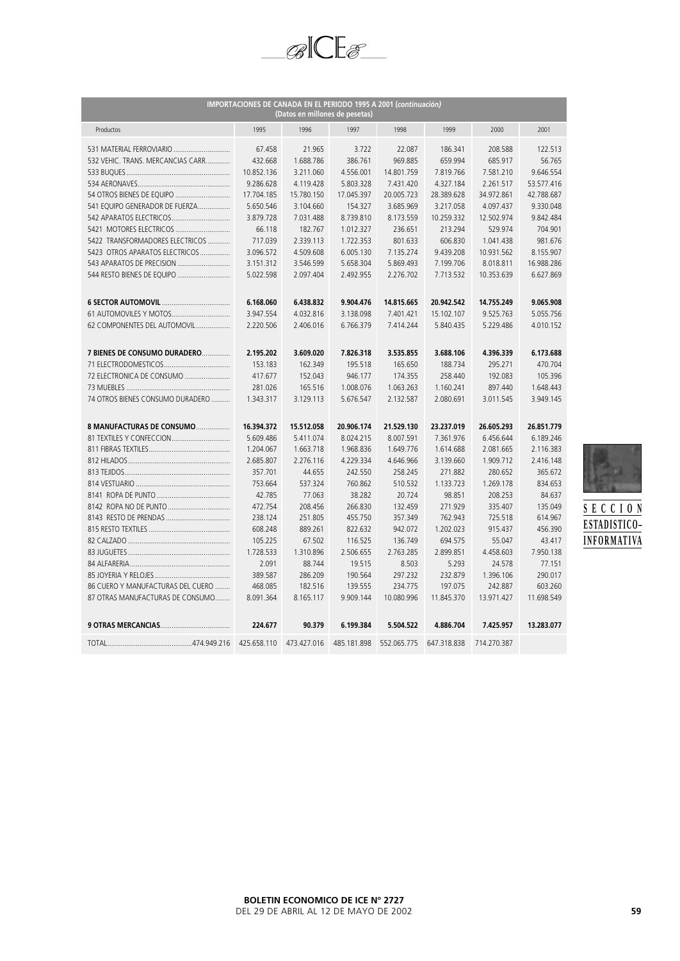| IMPORTACIONES DE CANADA EN EL PERIODO 1995 A 2001 (continuación)<br>(Datos en millones de pesetas) |             |             |             |             |             |             |            |  |  |
|----------------------------------------------------------------------------------------------------|-------------|-------------|-------------|-------------|-------------|-------------|------------|--|--|
|                                                                                                    |             |             |             |             |             |             |            |  |  |
| Productos                                                                                          | 1995        | 1996        | 1997        | 1998        | 1999        | 2000        | 2001       |  |  |
|                                                                                                    | 67.458      | 21.965      | 3.722       | 22.087      | 186.341     | 208.588     | 122.513    |  |  |
| 532 VEHIC. TRANS. MERCANCIAS CARR                                                                  | 432.668     | 1.688.786   | 386.761     | 969.885     | 659.994     | 685.917     | 56.765     |  |  |
|                                                                                                    | 10.852.136  | 3.211.060   | 4.556.001   | 14.801.759  | 7.819.766   | 7.581.210   | 9.646.554  |  |  |
|                                                                                                    | 9.286.628   | 4.119.428   | 5.803.328   | 7.431.420   | 4.327.184   | 2.261.517   | 53.577.416 |  |  |
| 54 OTROS BIENES DE EQUIPO                                                                          | 17.704.185  | 15.780.150  | 17.045.397  | 20.005.723  | 28.389.628  | 34.972.861  | 42.788.687 |  |  |
| 541 EOUIPO GENERADOR DE FUERZA                                                                     | 5.650.546   | 3.104.660   | 154.327     | 3.685.969   | 3.217.058   | 4.097.437   | 9.330.048  |  |  |
|                                                                                                    | 3.879.728   | 7.031.488   | 8.739.810   | 8.173.559   | 10.259.332  | 12.502.974  | 9.842.484  |  |  |
|                                                                                                    | 66.118      | 182.767     | 1.012.327   | 236.651     | 213.294     | 529.974     | 704.901    |  |  |
| 5422 TRANSFORMADORES ELECTRICOS                                                                    | 717.039     | 2.339.113   | 1.722.353   | 801.633     | 606.830     | 1.041.438   | 981.676    |  |  |
| 5423 OTROS APARATOS ELECTRICOS                                                                     | 3.096.572   | 4.509.608   | 6.005.130   | 7.135.274   | 9.439.208   | 10.931.562  | 8.155.907  |  |  |
| 543 APARATOS DE PRECISION                                                                          | 3.151.312   | 3.546.599   | 5.658.304   | 5.869.493   | 7.199.706   | 8.018.811   | 16.988.286 |  |  |
| 544 RESTO BIENES DE EQUIPO                                                                         | 5.022.598   | 2.097.404   | 2.492.955   | 2.276.702   | 7.713.532   | 10.353.639  | 6.627.869  |  |  |
|                                                                                                    |             |             |             |             |             |             |            |  |  |
|                                                                                                    | 6.168.060   | 6.438.832   | 9.904.476   | 14.815.665  | 20.942.542  | 14.755.249  | 9.065.908  |  |  |
|                                                                                                    | 3.947.554   | 4.032.816   | 3.138.098   | 7.401.421   | 15.102.107  | 9.525.763   | 5.055.756  |  |  |
| 62 COMPONENTES DEL AUTOMOVIL                                                                       | 2.220.506   | 2.406.016   | 6.766.379   | 7.414.244   | 5.840.435   | 5.229.486   | 4.010.152  |  |  |
|                                                                                                    |             |             |             |             |             |             |            |  |  |
| 7 BIENES DE CONSUMO DURADERO                                                                       | 2.195.202   | 3.609.020   | 7.826.318   | 3.535.855   | 3.688.106   | 4.396.339   | 6.173.688  |  |  |
|                                                                                                    | 153.183     | 162.349     | 195.518     | 165.650     | 188.734     | 295.271     | 470.704    |  |  |
| 72 ELECTRONICA DE CONSUMO                                                                          | 417.677     | 152.043     | 946.177     | 174.355     | 258.440     | 192.083     | 105.396    |  |  |
|                                                                                                    | 281.026     | 165.516     | 1.008.076   | 1.063.263   | 1.160.241   | 897.440     | 1.648.443  |  |  |
| 74 OTROS BIENES CONSUMO DURADERO                                                                   | 1.343.317   | 3.129.113   | 5.676.547   | 2.132.587   | 2.080.691   | 3.011.545   | 3.949.145  |  |  |
|                                                                                                    |             |             |             |             |             |             |            |  |  |
| 8 MANUFACTURAS DE CONSUMO                                                                          | 16.394.372  | 15.512.058  | 20.906.174  | 21.529.130  | 23.237.019  | 26.605.293  | 26.851.779 |  |  |
|                                                                                                    | 5.609.486   | 5.411.074   | 8.024.215   | 8.007.591   | 7.361.976   | 6.456.644   | 6.189.246  |  |  |
|                                                                                                    | 1.204.067   | 1.663.718   | 1.968.836   | 1.649.776   | 1.614.688   | 2.081.665   | 2.116.383  |  |  |
|                                                                                                    | 2.685.807   | 2.276.116   | 4.229.334   | 4.646.966   | 3.139.660   | 1.909.712   | 2.416.148  |  |  |
|                                                                                                    | 357.701     | 44.655      | 242.550     | 258.245     | 271.882     | 280.652     | 365.672    |  |  |
|                                                                                                    | 753.664     | 537.324     | 760.862     | 510.532     | 1.133.723   | 1.269.178   | 834.653    |  |  |
|                                                                                                    | 42.785      | 77.063      | 38.282      | 20.724      | 98.851      | 208.253     | 84.637     |  |  |
|                                                                                                    | 472.754     | 208.456     | 266.830     | 132.459     | 271.929     | 335.407     | 135.049    |  |  |
|                                                                                                    | 238.124     | 251.805     | 455.750     | 357.349     | 762.943     | 725.518     | 614.967    |  |  |
|                                                                                                    | 608.248     | 889.261     | 822.632     | 942.072     | 1.202.023   | 915.437     | 456.390    |  |  |
|                                                                                                    | 105.225     | 67.502      | 116.525     | 136.749     | 694.575     | 55.047      | 43.417     |  |  |
|                                                                                                    | 1.728.533   | 1.310.896   | 2.506.655   | 2.763.285   | 2.899.851   | 4.458.603   | 7.950.138  |  |  |
|                                                                                                    | 2.091       | 88.744      | 19.515      | 8.503       | 5.293       | 24.578      | 77.151     |  |  |
|                                                                                                    | 389.587     | 286.209     | 190.564     | 297.232     | 232.879     | 1.396.106   | 290.017    |  |  |
| 86 CUERO Y MANUFACTURAS DEL CUERO                                                                  | 468.085     | 182.516     | 139.555     | 234.775     | 197.075     | 242.887     | 603.260    |  |  |
| 87 OTRAS MANUFACTURAS DE CONSUMO                                                                   | 8.091.364   | 8.165.117   | 9.909.144   | 10.080.996  | 11.845.370  | 13.971.427  | 11.698.549 |  |  |
|                                                                                                    |             |             |             |             |             |             |            |  |  |
|                                                                                                    | 224.677     | 90.379      | 6.199.384   | 5.504.522   | 4.886.704   | 7.425.957   | 13.283.077 |  |  |
|                                                                                                    | 425.658.110 | 473.427.016 | 485.181.898 | 552.065.775 | 647.318.838 | 714.270.387 |            |  |  |
|                                                                                                    |             |             |             |             |             |             |            |  |  |

 $\mathscr{BICE\mathscr{E}}$ 

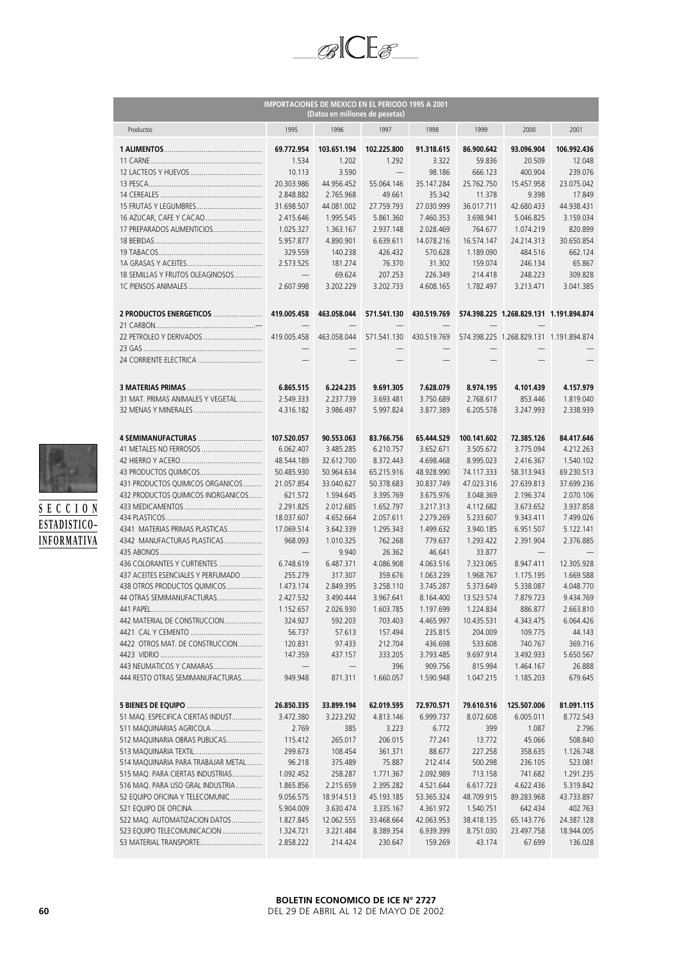| IMPORTACIONES DE MEXICO EN EL PERIODO 1995 A 2001<br>(Datos en millones de pesetas) |                          |                          |                          |                        |                          |                                         |                        |  |  |
|-------------------------------------------------------------------------------------|--------------------------|--------------------------|--------------------------|------------------------|--------------------------|-----------------------------------------|------------------------|--|--|
| Productos                                                                           | 1995                     | 1996                     | 1997                     | 1998                   | 1999                     | 2000                                    | 2001                   |  |  |
|                                                                                     | 69.772.954               | 103.651.194              | 102.225.800              | 91.318.615             | 86.900.642               | 93.096.904                              | 106.992.436            |  |  |
|                                                                                     | 1.534                    | 1.202                    | 1.292                    | 3.322                  | 59.836                   | 20.509                                  | 12.048                 |  |  |
|                                                                                     | 10.113                   | 3.590                    |                          | 98.186                 | 666.123                  | 400.904                                 | 239.076                |  |  |
|                                                                                     | 20.303.986               | 44.956.452               | 55.064.146               | 35.147.284             | 25.762.750               | 15.457.958                              | 23.075.042             |  |  |
|                                                                                     | 2.848.882                | 2.765.968                | 49.661                   | 35.342                 | 11.378                   | 9.398                                   | 17.849                 |  |  |
|                                                                                     | 31.698.507               | 44.081.002               | 27.759.793               | 27.030.999             | 36.017.711               | 42.680.433                              | 44.938.431             |  |  |
| 16 AZUCAR, CAFE Y CACAO                                                             | 2.415.646                | 1.995.545                | 5.861.360                | 7.460.353              | 3.698.941                | 5.046.825                               | 3.159.034              |  |  |
| 17 PREPARADOS ALIMENTICIOS                                                          | 1.025.327                | 1.363.167                | 2.937.148                | 2.028.469              | 764.677                  | 1.074.219                               | 820.899                |  |  |
|                                                                                     | 5.957.877<br>329.559     | 4.890.901<br>140.238     | 6.639.611<br>426.432     | 14.078.216<br>570.628  | 16.574.147<br>1.189.090  | 24.214.313<br>484.516                   | 30.650.854<br>662.124  |  |  |
|                                                                                     | 2.573.525                | 181.274                  | 76.370                   | 31.302                 | 159.074                  | 246.134                                 | 65.867                 |  |  |
| 1B SEMILLAS Y FRUTOS OLEAGINOSOS                                                    | $\qquad \qquad -$        | 69.624                   | 207.253                  | 226.349                | 214,418                  | 248.223                                 | 309.828                |  |  |
|                                                                                     | 2.607.998                | 3.202.229                | 3.202.733                | 4.608.165              | 1.782.497                | 3.213.471                               | 3.041.385              |  |  |
|                                                                                     | 419.005.458              | 463.058.044              | 571.541.130              | 430.519.769            |                          | 574.398.225 1.268.829.131 1.191.894.874 |                        |  |  |
|                                                                                     |                          |                          | $\overline{\phantom{0}}$ |                        | $\overline{\phantom{0}}$ |                                         |                        |  |  |
|                                                                                     | 419.005.458              | 463.058.044              | 571.541.130              | 430.519.769            |                          | 574.398.225 1.268.829.131 1.191.894.874 |                        |  |  |
|                                                                                     | $\qquad \qquad -$        |                          |                          |                        | $\qquad \qquad -$        |                                         |                        |  |  |
|                                                                                     |                          | $\overline{\phantom{0}}$ |                          | $\qquad \qquad$        | $\qquad \qquad$          |                                         |                        |  |  |
|                                                                                     |                          |                          |                          |                        |                          |                                         |                        |  |  |
|                                                                                     | 6.865.515                | 6.224.235                | 9.691.305                | 7.628.079              | 8.974.195                | 4.101.439                               | 4.157.979              |  |  |
| 31 MAT, PRIMAS ANIMALES Y VEGETAL                                                   | 2.549.333                | 2.237.739                | 3.693.481                | 3.750.689              | 2.768.617                | 853.446                                 | 1.819.040              |  |  |
|                                                                                     | 4.316.182                | 3.986.497                | 5.997.824                | 3.877.389              | 6.205.578                | 3.247.993                               | 2.338.939              |  |  |
|                                                                                     | 107.520.057              | 90.553.063               | 83.766.756               | 65.444.529             | 100.141.602              | 72.385.126                              | 84.417.646             |  |  |
|                                                                                     | 6.062.407                | 3.485.285                | 6.210.757                | 3.652.671              | 3.505.672                | 3.775.094                               | 4.212.263              |  |  |
|                                                                                     | 48.544.189               | 32.612.700               | 8.372.443                | 4.698.468              | 8.995.023                | 2.416.367                               | 1.540.102              |  |  |
|                                                                                     | 50.485.930               | 50.964.634               | 65.215.916               | 48.928.990             | 74.117.333               | 58.313.943                              | 69.230.513             |  |  |
| 431 PRODUCTOS QUIMICOS ORGANICOS                                                    | 21.057.854               | 33.040.627               | 50.378.683               | 30.837.749             | 47.023.316               | 27.639.813                              | 37.699.236             |  |  |
| 432 PRODUCTOS QUIMICOS INORGANICOS                                                  | 621.572                  | 1.594.645                | 3.395.769                | 3.675.976              | 3.048.369                | 2.196.374                               | 2.070.106              |  |  |
|                                                                                     | 2.291.825                | 2.012.685                | 1.652.797                | 3.217.313              | 4.112.682                | 3.673.652                               | 3.937.858              |  |  |
|                                                                                     | 18.037.607               | 4.652.664                | 2.057.611                | 2.279.269              | 5.233.607                | 9.343.411                               | 7.499.026              |  |  |
| 4341 MATERIAS PRIMAS PLASTICAS                                                      | 17.069.514               | 3.642.339                | 1.295.343                | 1.499.632              | 3.940.185                | 6.951.507                               | 5.122.141              |  |  |
| 4342 MANUFACTURAS PLASTICAS                                                         | 968.093                  | 1.010.325                | 762.268                  | 779.637                | 1.293.422                | 2.391.904                               | 2.376.885              |  |  |
|                                                                                     | $\overline{\phantom{0}}$ | 9.940                    | 26.362                   | 46.641                 | 33.877                   |                                         |                        |  |  |
| 436 COLORANTES Y CURTIENTES                                                         | 6.748.619                | 6.487.371                | 4.086.908                | 4.063.516              | 7.323.065                | 8.947.411                               | 12.305.928             |  |  |
| 437 ACEITES ESENCIALES Y PERFUMADO                                                  | 255.279                  | 317.307                  | 359.676                  | 1.063.239              | 1.968.767                | 1.175.195                               | 1.669.588              |  |  |
| 438 OTROS PRODUCTOS QUIMICOS<br>44 OTRAS SEMIMANUFACTURAS                           | 1.473.174<br>2.427.532   | 2.849.395<br>3.490.444   | 3.258.110<br>3.967.641   | 3.745.287<br>8.164.400 | 5.373.649<br>13.523.574  | 5.338.087<br>7.879.723                  | 4.048.770<br>9.434.769 |  |  |
|                                                                                     | 1.152.657                | 2.026.930                | 1.603.785                | 1.197.699              | 1.224.834                | 886.877                                 | 2.663.810              |  |  |
| 442 MATERIAL DE CONSTRUCCION                                                        | 324.927                  | 592.203                  | 703.403                  | 4.465.997              | 10.435.531               | 4.343.475                               | 6.064.426              |  |  |
|                                                                                     | 56.737                   | 57.613                   | 157.494                  | 235.815                | 204.009                  | 109.775                                 | 44.143                 |  |  |
| 4422 OTROS MAT. DE CONSTRUCCION                                                     | 120.831                  | 97.433                   | 212.704                  | 436.698                | 533.608                  | 740.767                                 | 369.716                |  |  |
|                                                                                     | 147.359                  | 437.157                  | 333.205                  | 3.793.485              | 9.697.914                | 3.492.933                               | 5.650.567              |  |  |
| 443 NEUMATICOS Y CAMARAS                                                            | $\qquad \qquad -$        | $\qquad \qquad -$        | 396                      | 909.756                | 815.994                  | 1.464.167                               | 26.888                 |  |  |
| 444 RESTO OTRAS SEMIMANUFACTURAS                                                    | 949.948                  | 871.311                  | 1.660.057                | 1.590.948              | 1.047.215                | 1.185.203                               | 679.645                |  |  |
|                                                                                     | 26.850.335               | 33.899.194               | 62.019.595               | 72.970.571             | 79.610.516               | 125.507.006                             | 81.091.115             |  |  |
| 51 MAQ. ESPECIFICA CIERTAS INDUST                                                   | 3.472.380                | 3.223.292                | 4.813.146                | 6.999.737              | 8.072.608                | 6.005.011                               | 8.772.543              |  |  |
| 511 MAQUINARIAS AGRICOLA                                                            | 2.769                    | 385                      | 3.223                    | 6.772                  | 399                      | 1.087                                   | 2.796                  |  |  |
| 512 MAQUINARIA OBRAS PUBLICAS                                                       | 115.412                  | 265.017                  | 206.015                  | 77.241                 | 13.772                   | 45.066                                  | 508.840                |  |  |
|                                                                                     | 299.673                  | 108.454                  | 361.371                  | 88.677                 | 227.258                  | 358.635                                 | 1.126.748              |  |  |
| 514 MAQUINARIA PARA TRABAJAR METAL                                                  | 96.218                   | 375.489                  | 75.887                   | 212.414                | 500.298                  | 236.105                                 | 523.081                |  |  |
| 515 MAQ. PARA CIERTAS INDUSTRIAS                                                    | 1.092.452                | 258.287                  | 1.771.367                | 2.092.989              | 713.158                  | 741.682                                 | 1.291.235              |  |  |
| 516 MAQ. PARA USO GRAL INDUSTRIA                                                    | 1.865.856                | 2.215.659                | 2.395.282                | 4.521.644              | 6.617.723                | 4.622.436                               | 5.319.842              |  |  |
| 52 EQUIPO OFICINA Y TELECOMUNIC                                                     | 9.056.575                | 18.914.513               | 45.193.185               | 53.365.324             | 48.709.915               | 89.283.968                              | 43.733.897             |  |  |
|                                                                                     | 5.904.009                | 3.630.474                | 3.335.167                | 4.361.972              | 1.540.751                | 642.434                                 | 402.763                |  |  |
| 522 MAQ. AUTOMATIZACION DATOS                                                       | 1.827.845                | 12.062.555               | 33.468.664               | 42.063.953             | 38.418.135               | 65.143.776                              | 24.387.128             |  |  |
| 523 EQUIPO TELECOMUNICACION                                                         | 1.324.721                | 3.221.484                | 8.389.354                | 6.939.399              | 8.751.030                | 23.497.758                              | 18.944.005             |  |  |
|                                                                                     | 2.858.222                | 214.424                  | 230.647                  | 159.269                | 43.174                   | 67.699                                  | 136.028                |  |  |

 $_{\mathscr{B}}$ ICE $_{\mathscr{E}}$